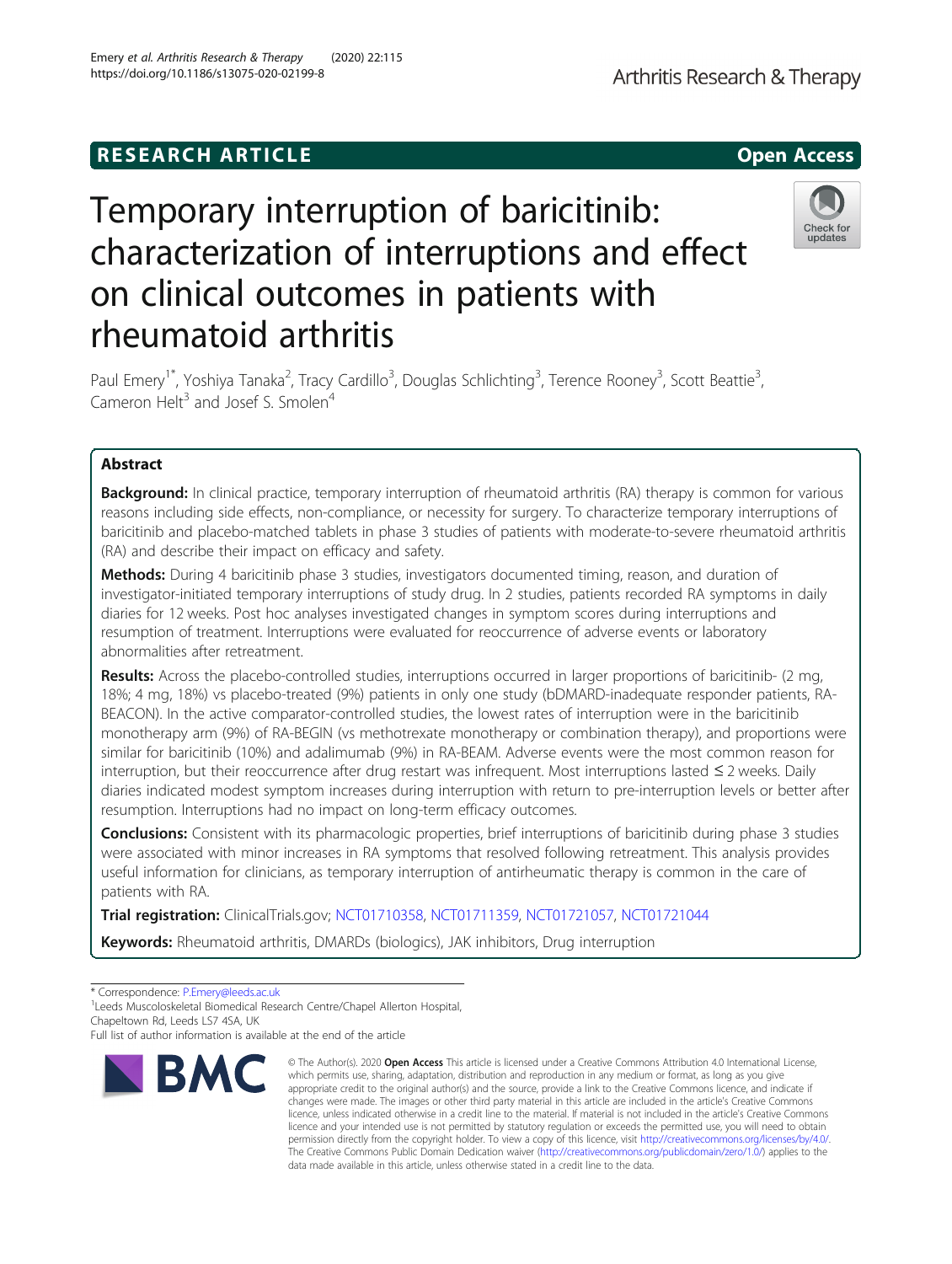# **RESEARCH ARTICLE Example 2014 12:30 The SEAR CHA R TIGGS**

# Temporary interruption of baricitinib: characterization of interruptions and effect on clinical outcomes in patients with rheumatoid arthritis

Paul Emery<sup>1\*</sup>, Yoshiya Tanaka<sup>2</sup>, Tracy Cardillo<sup>3</sup>, Douglas Schlichting<sup>3</sup>, Terence Rooney<sup>3</sup>, Scott Beattie<sup>3</sup> , Cameron Helt<sup>3</sup> and Josef S. Smolen<sup>4</sup>

# Abstract

**Background:** In clinical practice, temporary interruption of rheumatoid arthritis (RA) therapy is common for various reasons including side effects, non-compliance, or necessity for surgery. To characterize temporary interruptions of baricitinib and placebo-matched tablets in phase 3 studies of patients with moderate-to-severe rheumatoid arthritis (RA) and describe their impact on efficacy and safety.

Methods: During 4 baricitinib phase 3 studies, investigators documented timing, reason, and duration of investigator-initiated temporary interruptions of study drug. In 2 studies, patients recorded RA symptoms in daily diaries for 12 weeks. Post hoc analyses investigated changes in symptom scores during interruptions and resumption of treatment. Interruptions were evaluated for reoccurrence of adverse events or laboratory abnormalities after retreatment.

Results: Across the placebo-controlled studies, interruptions occurred in larger proportions of baricitinib- (2 mg, 18%; 4 mg, 18%) vs placebo-treated (9%) patients in only one study (bDMARD-inadequate responder patients, RA-BEACON). In the active comparator-controlled studies, the lowest rates of interruption were in the baricitinib monotherapy arm (9%) of RA-BEGIN (vs methotrexate monotherapy or combination therapy), and proportions were similar for baricitinib (10%) and adalimumab (9%) in RA-BEAM. Adverse events were the most common reason for interruption, but their reoccurrence after drug restart was infrequent. Most interruptions lasted ≤ 2 weeks. Daily diaries indicated modest symptom increases during interruption with return to pre-interruption levels or better after resumption. Interruptions had no impact on long-term efficacy outcomes.

**Conclusions:** Consistent with its pharmacologic properties, brief interruptions of baricitinib during phase 3 studies were associated with minor increases in RA symptoms that resolved following retreatment. This analysis provides useful information for clinicians, as temporary interruption of antirheumatic therapy is common in the care of patients with RA.

Trial registration: ClinicalTrials.gov; [NCT01710358,](https://clinicaltrials.gov/ct2/show/NCT01710358?term=NCT01710358&draw=2&rank=1) [NCT01711359,](https://clinicaltrials.gov/ct2/show/NCT01711359?term=NCT01711359&draw=2&rank=1) [NCT01721057](https://clinicaltrials.gov/ct2/show/NCT01721057?term=NCT01721057&draw=2&rank=1), [NCT01721044](https://clinicaltrials.gov/ct2/show/NCT01721044?term=NCT01721044&draw=2&rank=1)

Keywords: Rheumatoid arthritis, DMARDs (biologics), JAK inhibitors, Drug interruption

\* Correspondence: [P.Emery@leeds.ac.uk](mailto:P.Emery@leeds.ac.uk) <sup>1</sup>

**BMC** 

<sup>1</sup> Leeds Muscoloskeletal Biomedical Research Centre/Chapel Allerton Hospital, Chapeltown Rd, Leeds LS7 4SA, UK



© The Author(s), 2020 **Open Access** This article is licensed under a Creative Commons Attribution 4.0 International License, which permits use, sharing, adaptation, distribution and reproduction in any medium or format, as long as you give appropriate credit to the original author(s) and the source, provide a link to the Creative Commons licence, and indicate if





Full list of author information is available at the end of the article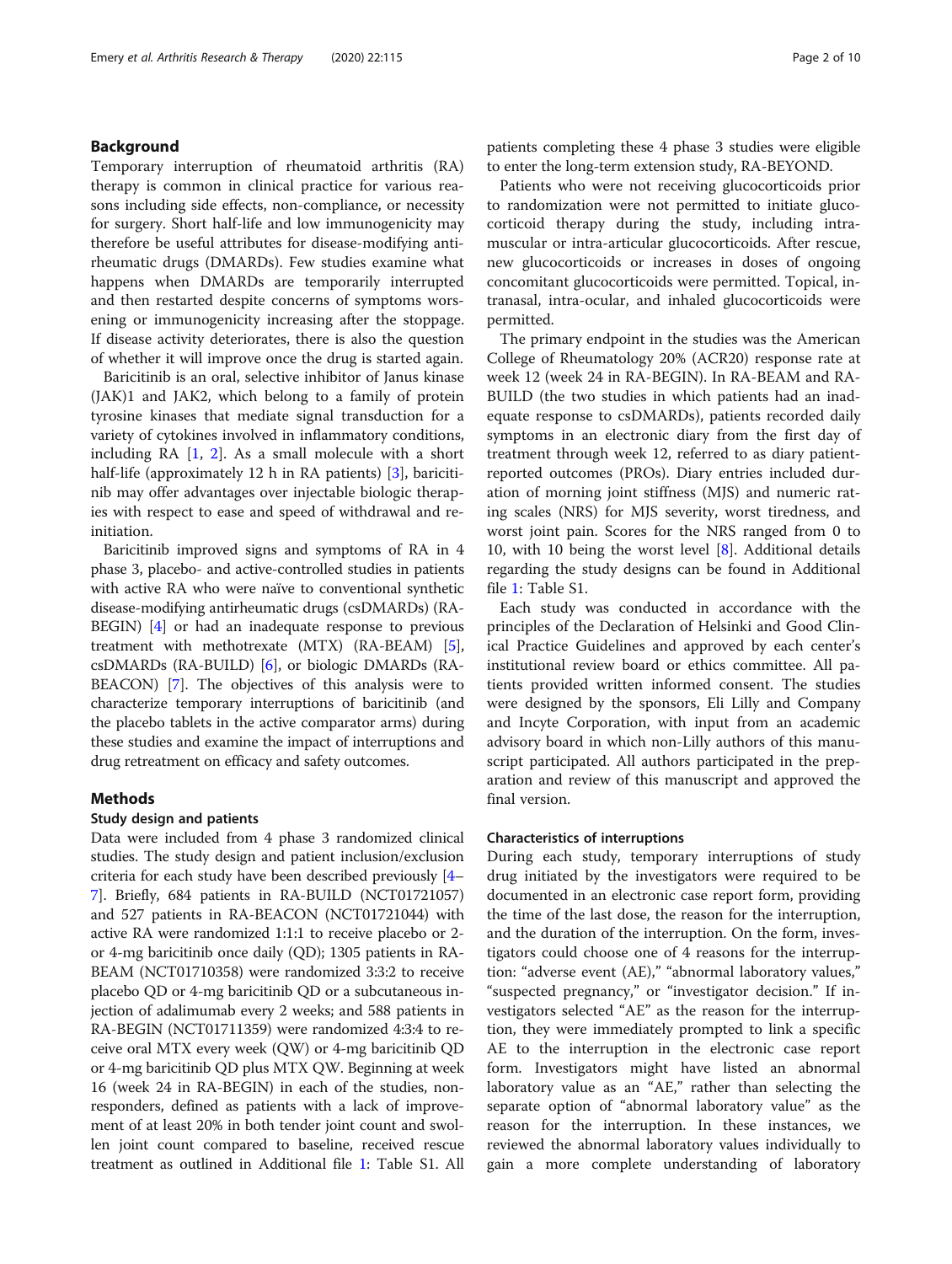# Background

Temporary interruption of rheumatoid arthritis (RA) therapy is common in clinical practice for various reasons including side effects, non-compliance, or necessity for surgery. Short half-life and low immunogenicity may therefore be useful attributes for disease-modifying antirheumatic drugs (DMARDs). Few studies examine what happens when DMARDs are temporarily interrupted and then restarted despite concerns of symptoms worsening or immunogenicity increasing after the stoppage. If disease activity deteriorates, there is also the question of whether it will improve once the drug is started again.

Baricitinib is an oral, selective inhibitor of Janus kinase (JAK)1 and JAK2, which belong to a family of protein tyrosine kinases that mediate signal transduction for a variety of cytokines involved in inflammatory conditions, including RA [\[1](#page-9-0), [2\]](#page-9-0). As a small molecule with a short half-life (approximately 12 h in RA patients) [\[3](#page-9-0)], baricitinib may offer advantages over injectable biologic therapies with respect to ease and speed of withdrawal and reinitiation.

Baricitinib improved signs and symptoms of RA in 4 phase 3, placebo- and active-controlled studies in patients with active RA who were naïve to conventional synthetic disease-modifying antirheumatic drugs (csDMARDs) (RA-BEGIN) [\[4](#page-9-0)] or had an inadequate response to previous treatment with methotrexate (MTX) (RA-BEAM) [[5](#page-9-0)], csDMARDs (RA-BUILD) [\[6\]](#page-9-0), or biologic DMARDs (RA-BEACON) [[7\]](#page-9-0). The objectives of this analysis were to characterize temporary interruptions of baricitinib (and the placebo tablets in the active comparator arms) during these studies and examine the impact of interruptions and drug retreatment on efficacy and safety outcomes.

# Methods

# Study design and patients

Data were included from 4 phase 3 randomized clinical studies. The study design and patient inclusion/exclusion criteria for each study have been described previously [[4](#page-9-0)– [7\]](#page-9-0). Briefly, 684 patients in RA-BUILD (NCT01721057) and 527 patients in RA-BEACON (NCT01721044) with active RA were randomized 1:1:1 to receive placebo or 2 or 4-mg baricitinib once daily (QD); 1305 patients in RA-BEAM (NCT01710358) were randomized 3:3:2 to receive placebo QD or 4-mg baricitinib QD or a subcutaneous injection of adalimumab every 2 weeks; and 588 patients in RA-BEGIN (NCT01711359) were randomized 4:3:4 to receive oral MTX every week (QW) or 4-mg baricitinib QD or 4-mg baricitinib QD plus MTX QW. Beginning at week 16 (week 24 in RA-BEGIN) in each of the studies, nonresponders, defined as patients with a lack of improvement of at least 20% in both tender joint count and swollen joint count compared to baseline, received rescue treatment as outlined in Additional file [1](#page-8-0): Table S1. All patients completing these 4 phase 3 studies were eligible to enter the long-term extension study, RA-BEYOND.

Patients who were not receiving glucocorticoids prior to randomization were not permitted to initiate glucocorticoid therapy during the study, including intramuscular or intra-articular glucocorticoids. After rescue, new glucocorticoids or increases in doses of ongoing concomitant glucocorticoids were permitted. Topical, intranasal, intra-ocular, and inhaled glucocorticoids were permitted.

The primary endpoint in the studies was the American College of Rheumatology 20% (ACR20) response rate at week 12 (week 24 in RA-BEGIN). In RA-BEAM and RA-BUILD (the two studies in which patients had an inadequate response to csDMARDs), patients recorded daily symptoms in an electronic diary from the first day of treatment through week 12, referred to as diary patientreported outcomes (PROs). Diary entries included duration of morning joint stiffness (MJS) and numeric rating scales (NRS) for MJS severity, worst tiredness, and worst joint pain. Scores for the NRS ranged from 0 to 10, with 10 being the worst level  $[8]$  $[8]$ . Additional details regarding the study designs can be found in Additional file [1:](#page-8-0) Table S1.

Each study was conducted in accordance with the principles of the Declaration of Helsinki and Good Clinical Practice Guidelines and approved by each center's institutional review board or ethics committee. All patients provided written informed consent. The studies were designed by the sponsors, Eli Lilly and Company and Incyte Corporation, with input from an academic advisory board in which non-Lilly authors of this manuscript participated. All authors participated in the preparation and review of this manuscript and approved the final version.

# Characteristics of interruptions

During each study, temporary interruptions of study drug initiated by the investigators were required to be documented in an electronic case report form, providing the time of the last dose, the reason for the interruption, and the duration of the interruption. On the form, investigators could choose one of 4 reasons for the interruption: "adverse event (AE)," "abnormal laboratory values," "suspected pregnancy," or "investigator decision." If investigators selected "AE" as the reason for the interruption, they were immediately prompted to link a specific AE to the interruption in the electronic case report form. Investigators might have listed an abnormal laboratory value as an "AE," rather than selecting the separate option of "abnormal laboratory value" as the reason for the interruption. In these instances, we reviewed the abnormal laboratory values individually to gain a more complete understanding of laboratory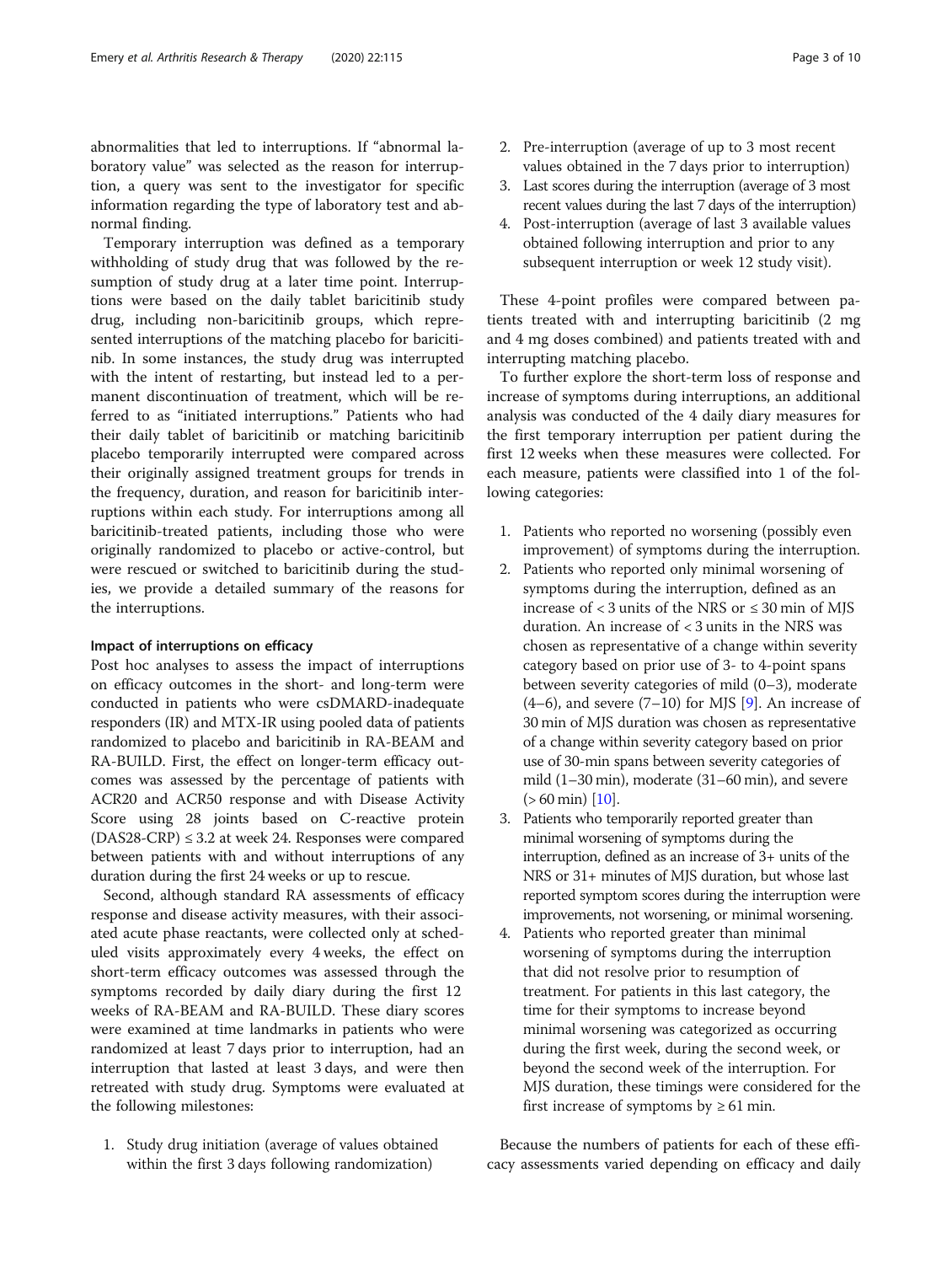abnormalities that led to interruptions. If "abnormal laboratory value" was selected as the reason for interruption, a query was sent to the investigator for specific information regarding the type of laboratory test and abnormal finding.

Temporary interruption was defined as a temporary withholding of study drug that was followed by the resumption of study drug at a later time point. Interruptions were based on the daily tablet baricitinib study drug, including non-baricitinib groups, which represented interruptions of the matching placebo for baricitinib. In some instances, the study drug was interrupted with the intent of restarting, but instead led to a permanent discontinuation of treatment, which will be referred to as "initiated interruptions." Patients who had their daily tablet of baricitinib or matching baricitinib placebo temporarily interrupted were compared across their originally assigned treatment groups for trends in the frequency, duration, and reason for baricitinib interruptions within each study. For interruptions among all baricitinib-treated patients, including those who were originally randomized to placebo or active-control, but were rescued or switched to baricitinib during the studies, we provide a detailed summary of the reasons for the interruptions.

# Impact of interruptions on efficacy

Post hoc analyses to assess the impact of interruptions on efficacy outcomes in the short- and long-term were conducted in patients who were csDMARD-inadequate responders (IR) and MTX-IR using pooled data of patients randomized to placebo and baricitinib in RA-BEAM and RA-BUILD. First, the effect on longer-term efficacy outcomes was assessed by the percentage of patients with ACR20 and ACR50 response and with Disease Activity Score using 28 joints based on C-reactive protein  $(DAS28-CRP) \leq 3.2$  at week 24. Responses were compared between patients with and without interruptions of any duration during the first 24 weeks or up to rescue.

Second, although standard RA assessments of efficacy response and disease activity measures, with their associated acute phase reactants, were collected only at scheduled visits approximately every 4 weeks, the effect on short-term efficacy outcomes was assessed through the symptoms recorded by daily diary during the first 12 weeks of RA-BEAM and RA-BUILD. These diary scores were examined at time landmarks in patients who were randomized at least 7 days prior to interruption, had an interruption that lasted at least 3 days, and were then retreated with study drug. Symptoms were evaluated at the following milestones:

1. Study drug initiation (average of values obtained within the first 3 days following randomization)

- 2. Pre-interruption (average of up to 3 most recent values obtained in the 7 days prior to interruption)
- 3. Last scores during the interruption (average of 3 most recent values during the last 7 days of the interruption)
- 4. Post-interruption (average of last 3 available values obtained following interruption and prior to any subsequent interruption or week 12 study visit).

These 4-point profiles were compared between patients treated with and interrupting baricitinib (2 mg and 4 mg doses combined) and patients treated with and interrupting matching placebo.

To further explore the short-term loss of response and increase of symptoms during interruptions, an additional analysis was conducted of the 4 daily diary measures for the first temporary interruption per patient during the first 12 weeks when these measures were collected. For each measure, patients were classified into 1 of the following categories:

- 1. Patients who reported no worsening (possibly even improvement) of symptoms during the interruption.
- 2. Patients who reported only minimal worsening of symptoms during the interruption, defined as an increase of  $<$  3 units of the NRS or  $\leq$  30 min of MIS duration. An increase of < 3 units in the NRS was chosen as representative of a change within severity category based on prior use of 3- to 4-point spans between severity categories of mild (0–3), moderate  $(4-6)$ , and severe  $(7-10)$  for MJS [[9\]](#page-9-0). An increase of 30 min of MJS duration was chosen as representative of a change within severity category based on prior use of 30-min spans between severity categories of mild (1–30 min), moderate (31–60 min), and severe  $(> 60 \text{ min})$  [\[10\]](#page-9-0).
- 3. Patients who temporarily reported greater than minimal worsening of symptoms during the interruption, defined as an increase of 3+ units of the NRS or 31+ minutes of MJS duration, but whose last reported symptom scores during the interruption were improvements, not worsening, or minimal worsening.
- 4. Patients who reported greater than minimal worsening of symptoms during the interruption that did not resolve prior to resumption of treatment. For patients in this last category, the time for their symptoms to increase beyond minimal worsening was categorized as occurring during the first week, during the second week, or beyond the second week of the interruption. For MJS duration, these timings were considered for the first increase of symptoms by  $\geq 61$  min.

Because the numbers of patients for each of these efficacy assessments varied depending on efficacy and daily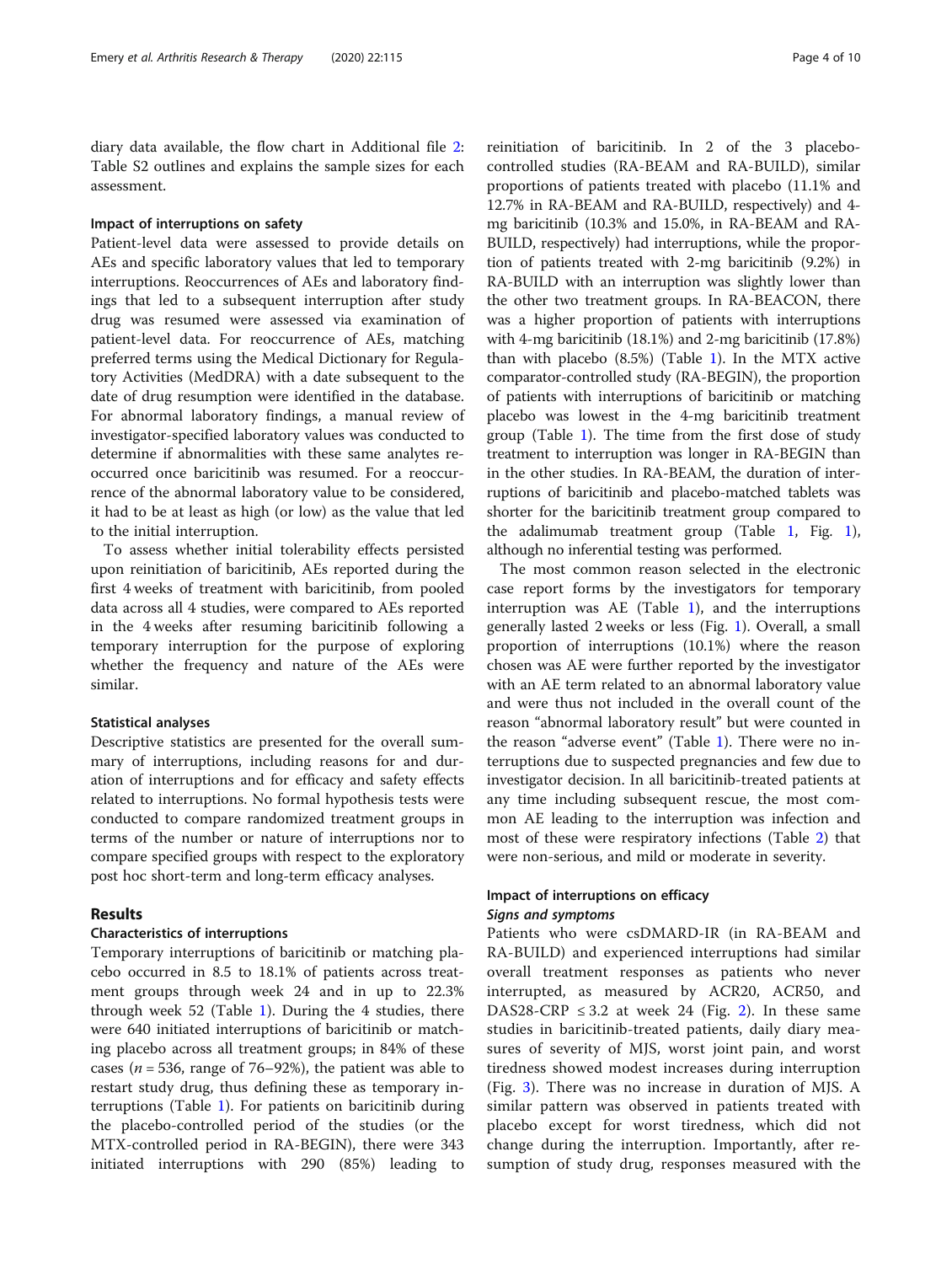diary data available, the flow chart in Additional file [2](#page-8-0): Table S2 outlines and explains the sample sizes for each assessment.

# Impact of interruptions on safety

Patient-level data were assessed to provide details on AEs and specific laboratory values that led to temporary interruptions. Reoccurrences of AEs and laboratory findings that led to a subsequent interruption after study drug was resumed were assessed via examination of patient-level data. For reoccurrence of AEs, matching preferred terms using the Medical Dictionary for Regulatory Activities (MedDRA) with a date subsequent to the date of drug resumption were identified in the database. For abnormal laboratory findings, a manual review of investigator-specified laboratory values was conducted to determine if abnormalities with these same analytes reoccurred once baricitinib was resumed. For a reoccurrence of the abnormal laboratory value to be considered, it had to be at least as high (or low) as the value that led to the initial interruption.

To assess whether initial tolerability effects persisted upon reinitiation of baricitinib, AEs reported during the first 4 weeks of treatment with baricitinib, from pooled data across all 4 studies, were compared to AEs reported in the 4 weeks after resuming baricitinib following a temporary interruption for the purpose of exploring whether the frequency and nature of the AEs were similar.

# Statistical analyses

Descriptive statistics are presented for the overall summary of interruptions, including reasons for and duration of interruptions and for efficacy and safety effects related to interruptions. No formal hypothesis tests were conducted to compare randomized treatment groups in terms of the number or nature of interruptions nor to compare specified groups with respect to the exploratory post hoc short-term and long-term efficacy analyses.

# Results

# Characteristics of interruptions

Temporary interruptions of baricitinib or matching placebo occurred in 8.5 to 18.1% of patients across treatment groups through week 24 and in up to 22.3% through week 52 (Table [1](#page-4-0)). During the 4 studies, there were 640 initiated interruptions of baricitinib or matching placebo across all treatment groups; in 84% of these cases ( $n = 536$ , range of 76–92%), the patient was able to restart study drug, thus defining these as temporary interruptions (Table [1\)](#page-4-0). For patients on baricitinib during the placebo-controlled period of the studies (or the MTX-controlled period in RA-BEGIN), there were 343 initiated interruptions with 290 (85%) leading to

reinitiation of baricitinib. In 2 of the 3 placebocontrolled studies (RA-BEAM and RA-BUILD), similar proportions of patients treated with placebo (11.1% and 12.7% in RA-BEAM and RA-BUILD, respectively) and 4 mg baricitinib (10.3% and 15.0%, in RA-BEAM and RA-BUILD, respectively) had interruptions, while the proportion of patients treated with 2-mg baricitinib (9.2%) in RA-BUILD with an interruption was slightly lower than the other two treatment groups. In RA-BEACON, there was a higher proportion of patients with interruptions with 4-mg baricitinib (18.1%) and 2-mg baricitinib (17.8%) than with placebo  $(8.5%)$  (Table [1\)](#page-4-0). In the MTX active comparator-controlled study (RA-BEGIN), the proportion of patients with interruptions of baricitinib or matching placebo was lowest in the 4-mg baricitinib treatment group (Table [1\)](#page-4-0). The time from the first dose of study treatment to interruption was longer in RA-BEGIN than in the other studies. In RA-BEAM, the duration of interruptions of baricitinib and placebo-matched tablets was shorter for the baricitinib treatment group compared to the adalimumab treatment group (Table [1](#page-4-0), Fig. [1](#page-5-0)), although no inferential testing was performed.

The most common reason selected in the electronic case report forms by the investigators for temporary interruption was AE (Table [1](#page-4-0)), and the interruptions generally lasted 2 weeks or less (Fig. [1](#page-5-0)). Overall, a small proportion of interruptions (10.1%) where the reason chosen was AE were further reported by the investigator with an AE term related to an abnormal laboratory value and were thus not included in the overall count of the reason "abnormal laboratory result" but were counted in the reason "adverse event" (Table [1](#page-4-0)). There were no interruptions due to suspected pregnancies and few due to investigator decision. In all baricitinib-treated patients at any time including subsequent rescue, the most common AE leading to the interruption was infection and most of these were respiratory infections (Table [2](#page-6-0)) that were non-serious, and mild or moderate in severity.

# Impact of interruptions on efficacy Signs and symptoms

Patients who were csDMARD-IR (in RA-BEAM and RA-BUILD) and experienced interruptions had similar overall treatment responses as patients who never interrupted, as measured by ACR20, ACR50, and DAS[2](#page-7-0)8-CRP  $\leq$  3.2 at week 24 (Fig. 2). In these same studies in baricitinib-treated patients, daily diary measures of severity of MJS, worst joint pain, and worst tiredness showed modest increases during interruption (Fig. [3](#page-7-0)). There was no increase in duration of MJS. A similar pattern was observed in patients treated with placebo except for worst tiredness, which did not change during the interruption. Importantly, after resumption of study drug, responses measured with the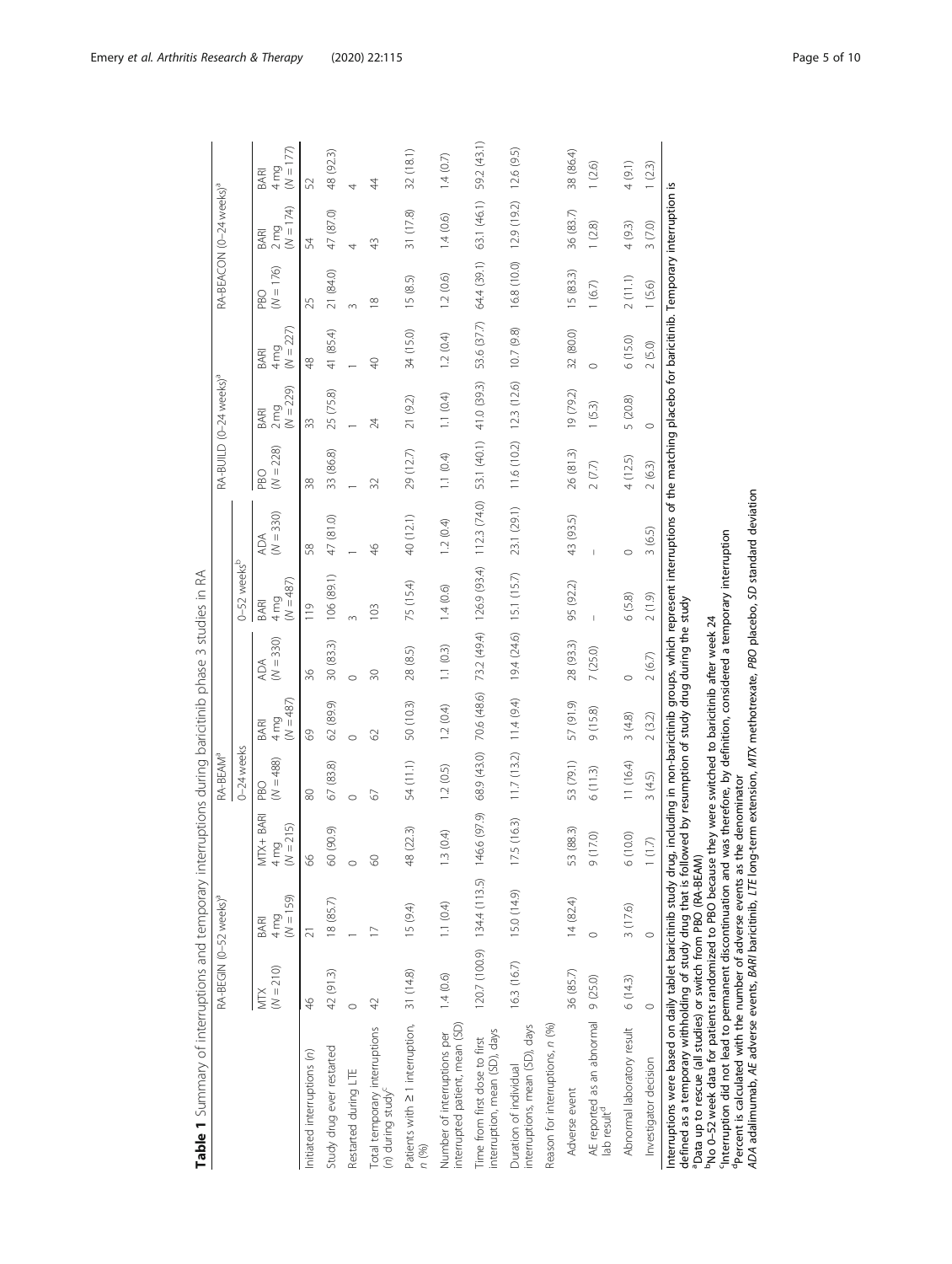<span id="page-4-0"></span>

|                                                                                                                                                                                                                                                                                                                                                                                                                                                                                                                   | RA-BEGIN (0-52 weeks) <sup>a</sup> |                                    |                                | RA-BEAM <sup>a</sup>      |                                               |                    |                                        |                    |                           | RA-BUILD (0-24 weeks) <sup>a</sup>      |                                        |                           | RA-BEACON (0-24 weeks) <sup>a</sup>     |                             |
|-------------------------------------------------------------------------------------------------------------------------------------------------------------------------------------------------------------------------------------------------------------------------------------------------------------------------------------------------------------------------------------------------------------------------------------------------------------------------------------------------------------------|------------------------------------|------------------------------------|--------------------------------|---------------------------|-----------------------------------------------|--------------------|----------------------------------------|--------------------|---------------------------|-----------------------------------------|----------------------------------------|---------------------------|-----------------------------------------|-----------------------------|
|                                                                                                                                                                                                                                                                                                                                                                                                                                                                                                                   |                                    |                                    |                                | 0-24 weeks                |                                               |                    | 0-52 weeks <sup>b</sup>                |                    |                           |                                         |                                        |                           |                                         |                             |
|                                                                                                                                                                                                                                                                                                                                                                                                                                                                                                                   | $N = 210$<br>MTX                   | $(N = 159)$<br>4 mg<br><b>BARI</b> | TX+BARI<br>$= 215$<br>4mg<br>≤ | $(N = 488)$<br><b>DBO</b> | $(N = 487)$<br>4 <sub>mg</sub><br><b>BARI</b> | $(N = 330)$<br>ADA | $(N = 487)$<br>4 <sub>mg</sub><br>BARI | $(N = 330)$<br>ADA | $(N = 228)$<br><b>PBO</b> | $(N = 229)$<br>$2 \, \text{mg}$<br>BARI | $(N = 227)$<br>4 <sub>mg</sub><br>BARI | $(N = 176)$<br><b>DBO</b> | $(N = 174)$<br>$2 \, \text{mg}$<br>BARI | $(N = 177)$<br>4 mg<br>BARI |
| Initiated interruptions (n)                                                                                                                                                                                                                                                                                                                                                                                                                                                                                       | 46                                 | $\overline{2}1$                    | ওঁ                             | 80                        | 8                                             | 96                 | 119                                    | 58                 | 38                        | 33                                      | $\frac{8}{4}$                          | 25                        | 54                                      | 52                          |
| Study drug ever restarted                                                                                                                                                                                                                                                                                                                                                                                                                                                                                         | 42 (91.3)                          | 18 (85.7)                          | 60 (90.9)                      | 67 (83.8)                 | 62 (89.9)                                     | 30 (83.3)          | 106 (89.1)                             | 47 (81.0)          | 33 (86.8)                 | 25 (75.8)                               | 41 (85.4)                              | 21 (84.0)                 | 47 (87.0)                               | 48 (92.3)                   |
| Restarted during LTE                                                                                                                                                                                                                                                                                                                                                                                                                                                                                              | $\circ$                            |                                    | $\circ$                        | $\circ$                   | $\circ$                                       | $\circ$            |                                        |                    |                           |                                         |                                        | $\sim$                    | 4                                       | 4                           |
| Total temporary interruptions<br>(n) during study <sup>c</sup>                                                                                                                                                                                                                                                                                                                                                                                                                                                    | 42                                 | $\geq$                             | ଢ଼                             | 67                        | 3                                             | $\approx$          | 103                                    | 46                 | 32                        | 24                                      | $\overline{40}$                        | $\frac{8}{10}$            | 43                                      | 4                           |
| Patients with 2 1 interruption,<br>n (%)                                                                                                                                                                                                                                                                                                                                                                                                                                                                          | 31 (14.8)                          | 15 (9.4)                           | (22.3)<br>48                   | 54 (11.1)                 | 50 (10.3)                                     | 28 (8.5)           | 75 (15.4)                              | 40 (12.1)          | 29 (12.7)                 | 21 (9.2)                                | 34 (15.0)                              | 15 (8.5)                  | 31 (17.8)                               | 32(18.1)                    |
| interrupted patient, mean (SD)<br>Number of interruptions per                                                                                                                                                                                                                                                                                                                                                                                                                                                     | 1.4(0.6)                           | 1.1(0.4)                           | 3(0.4)                         | 1.2(0.5)                  | 1.2(0.4)                                      | 1.1(0.3)           | 1.4(0.6)                               | 1.2(0.4)           | 1.1(0.4)                  | 1.1(0.4)                                | 1.2(0.4)                               | 1.2(0.6)                  | 1.4(0.6)                                | 1.4(0.7)                    |
| interruption, mean (SD), days<br>Time from first dose to first                                                                                                                                                                                                                                                                                                                                                                                                                                                    |                                    | 120.7 (100.9) 134.4 (113.5)        | 146.6 (97.9)                   | 68.9 (43.0)               | 70.6 (48.6)                                   | 73.2 (49.4)        | 126.9 (93.4)                           | 112.3 (74.0)       | 53.1 (40.1)               | 41.0 (39.3)                             | 53.6 (37.7)                            | 64.4 (39.1)               | 63.1 (46.1)                             | 59.2 (43.1)                 |
| interruptions, mean (SD), days<br>Duration of individual                                                                                                                                                                                                                                                                                                                                                                                                                                                          | 16.3 (16.7)                        | 15.0 (14.9)                        | .5(16.3)                       | 11.7(13.2)                | 11.4(9.4)                                     | 19.4 (24.6)        | 15.1 (15.7)                            | 23.1 (29.1)        | 11.6 (10.2)               | 12.3 (12.6)                             | 10.7(9.8)                              | 16.8 (10.0)               | 12.9 (19.2)                             | 12.6(9.5)                   |
| Reason for interruptions, n (%)                                                                                                                                                                                                                                                                                                                                                                                                                                                                                   |                                    |                                    |                                |                           |                                               |                    |                                        |                    |                           |                                         |                                        |                           |                                         |                             |
| Adverse event                                                                                                                                                                                                                                                                                                                                                                                                                                                                                                     | 36 (85.7)                          | 14(82.4)                           | (88.3)<br>$\infty$<br>5        | 53 (79.1)                 | 57 (91.9)                                     | 28 (93.3)          | 95 (92.2)                              | 43 (93.5)          | 26 (81.3)                 | 19 (79.2)                               | 32 (80.0)                              | 15(83.3)                  | 36 (83.7)                               | 38 (86.4)                   |
| AE reported as an abnormal<br>lab result <sup>d</sup>                                                                                                                                                                                                                                                                                                                                                                                                                                                             | 9(25.0)                            | $\circ$                            | (17.0)<br>G                    | 6(11.3)                   | 9(15.8)                                       | 7 (25.0)           |                                        |                    | 2(7.7)                    | 1(5.3)                                  | $\circ$                                | 1(6.7)                    | 1(2.8)                                  | 1(2.6)                      |
| Abnormal laboratory result                                                                                                                                                                                                                                                                                                                                                                                                                                                                                        | 6(14.3)                            | 3(17.6)                            | (10.0)<br>$\circ$              | 11 (16.4)                 | 3(4.8)                                        | $\circ$            | 6(5.8)                                 | $\circ$            | 4(12.5)                   | 5 (20.8)                                | 6(15.0)                                | 2(11.1)                   | 4(9.3)                                  | 4(9.1)                      |
| Investigator decision                                                                                                                                                                                                                                                                                                                                                                                                                                                                                             | $\circ$                            | $\circ$                            | $(1.7)$                        | 3(4.5)                    | 2(3.2)                                        | 2(6.7)             | 2(1.9)                                 | 3(6.5)             | 2(6.3)                    | $\circ$                                 | 2(5.0)                                 | 1(5.6)                    | 3 (7.0)                                 | 1(2.3)                      |
| Interruptions were based on daily tablet baricitinib study drug, including in non-baricitinib groups, which represent interruptions of the matching placebo for baricitinib. Temporary interruption is<br>defined as a temporary withholding of study drug that is followed by resumption of study drug during the study<br>Mo 0-52 week data for patients randomized to PBO because they were switched to baricitinib after week 24<br><sup>a</sup> Data up to rescue (all studies) or switch from PBO (RA-BEAM) |                                    |                                    |                                |                           |                                               |                    |                                        |                    |                           |                                         |                                        |                           |                                         |                             |
| Interruption did not lead to permanent discontinuation and was therefore, by definition, considered a temporary interruption                                                                                                                                                                                                                                                                                                                                                                                      |                                    |                                    |                                |                           |                                               |                    |                                        |                    |                           |                                         |                                        |                           |                                         |                             |
| ADA adalimumab, AE adverse events, BARI baricitinib, LTE long-term extension, MTX methotrexate, PBO placebo, SD standard deviation<br><sup>d</sup> Percent is calculated with the number of adverse events as the denominator                                                                                                                                                                                                                                                                                     |                                    |                                    |                                |                           |                                               |                    |                                        |                    |                           |                                         |                                        |                           |                                         |                             |

Table 1 Summary of interruptions and temporary interruptions during baricitinib phase 3 studies in RA Table 1 Summary of interruptions and temporary interruptions during baricitinib phase 3 studies in RA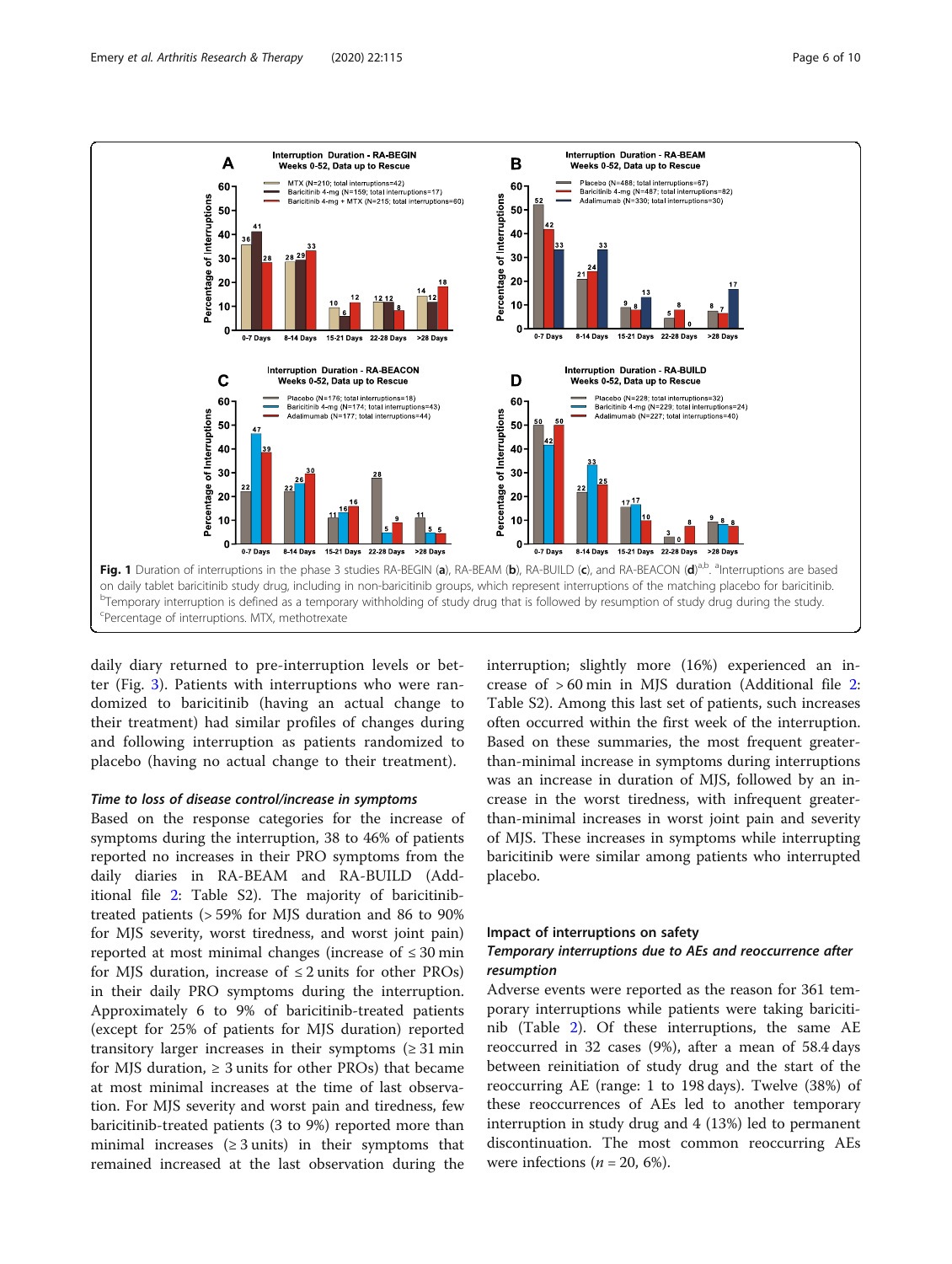<span id="page-5-0"></span>

daily diary returned to pre-interruption levels or better (Fig. [3\)](#page-7-0). Patients with interruptions who were randomized to baricitinib (having an actual change to their treatment) had similar profiles of changes during and following interruption as patients randomized to placebo (having no actual change to their treatment).

# Time to loss of disease control/increase in symptoms

Based on the response categories for the increase of symptoms during the interruption, 38 to 46% of patients reported no increases in their PRO symptoms from the daily diaries in RA-BEAM and RA-BUILD (Additional file [2:](#page-8-0) Table S2). The majority of baricitinibtreated patients (> 59% for MJS duration and 86 to 90% for MJS severity, worst tiredness, and worst joint pain) reported at most minimal changes (increase of  $\leq 30$  min for MJS duration, increase of  $\leq 2$  units for other PROs) in their daily PRO symptoms during the interruption. Approximately 6 to 9% of baricitinib-treated patients (except for 25% of patients for MJS duration) reported transitory larger increases in their symptoms  $(≥ 31 min$ for MJS duration,  $\geq 3$  units for other PROs) that became at most minimal increases at the time of last observation. For MJS severity and worst pain and tiredness, few baricitinib-treated patients (3 to 9%) reported more than minimal increases ( $\geq$  3 units) in their symptoms that remained increased at the last observation during the

interruption; slightly more (16%) experienced an increase of > 60 min in MJS duration (Additional file [2](#page-8-0): Table S2). Among this last set of patients, such increases often occurred within the first week of the interruption. Based on these summaries, the most frequent greaterthan-minimal increase in symptoms during interruptions was an increase in duration of MJS, followed by an increase in the worst tiredness, with infrequent greaterthan-minimal increases in worst joint pain and severity of MJS. These increases in symptoms while interrupting baricitinib were similar among patients who interrupted placebo.

## Impact of interruptions on safety

# Temporary interruptions due to AEs and reoccurrence after resumption

Adverse events were reported as the reason for 361 temporary interruptions while patients were taking baricitinib (Table [2\)](#page-6-0). Of these interruptions, the same AE reoccurred in 32 cases (9%), after a mean of 58.4 days between reinitiation of study drug and the start of the reoccurring AE (range: 1 to 198 days). Twelve (38%) of these reoccurrences of AEs led to another temporary interruption in study drug and 4 (13%) led to permanent discontinuation. The most common reoccurring AEs were infections ( $n = 20, 6\%$ ).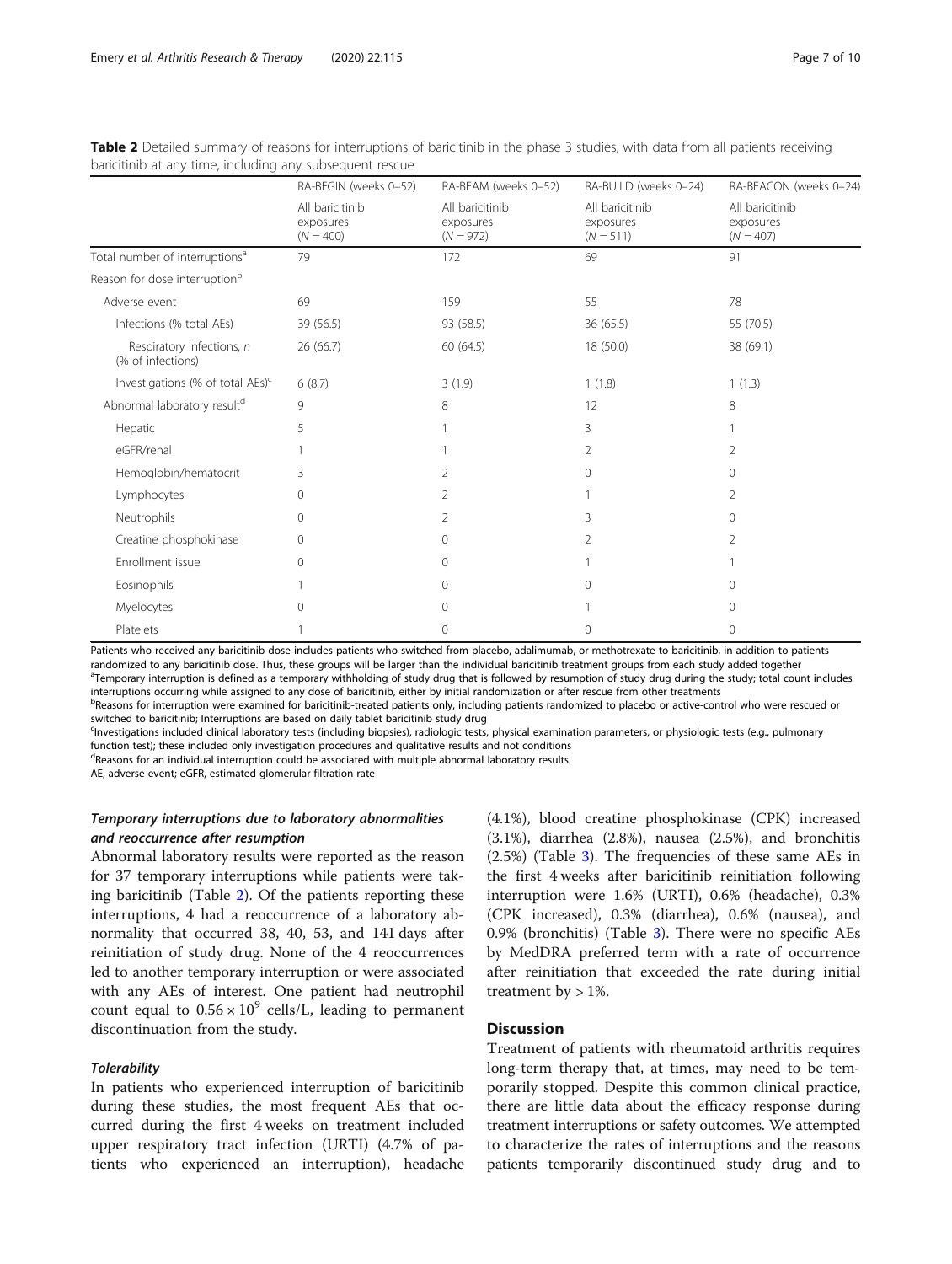|                                                | RA-BEGIN (weeks 0-52)                       | RA-BEAM (weeks 0-52)                        | RA-BUILD (weeks 0-24)                       | RA-BEACON (weeks 0-24)                      |
|------------------------------------------------|---------------------------------------------|---------------------------------------------|---------------------------------------------|---------------------------------------------|
|                                                | All baricitinib<br>exposures<br>$(N = 400)$ | All baricitinib<br>exposures<br>$(N = 972)$ | All baricitinib<br>exposures<br>$(N = 511)$ | All baricitinib<br>exposures<br>$(N = 407)$ |
| Total number of interruptions <sup>a</sup>     | 79                                          | 172                                         | 69                                          | 91                                          |
| Reason for dose interruption <sup>b</sup>      |                                             |                                             |                                             |                                             |
| Adverse event                                  | 69                                          | 159                                         | 55                                          | 78                                          |
| Infections (% total AEs)                       | 39 (56.5)                                   | 93 (58.5)                                   | 36 (65.5)                                   | 55 (70.5)                                   |
| Respiratory infections, n<br>(% of infections) | 26 (66.7)                                   | 60 (64.5)                                   | 18 (50.0)                                   | 38 (69.1)                                   |
| Investigations (% of total AEs) <sup>c</sup>   | 6(8.7)                                      | 3(1.9)                                      | 1(1.8)                                      | 1(1.3)                                      |
| Abnormal laboratory resultd                    | 9                                           | 8                                           | 12                                          | 8                                           |
| Hepatic                                        | 5                                           |                                             | 3                                           |                                             |
| eGFR/renal                                     |                                             |                                             | $\overline{2}$                              | 2                                           |
| Hemoglobin/hematocrit                          | 3                                           | 2                                           | $\Omega$                                    | $\Omega$                                    |
| Lymphocytes                                    | 0                                           | 2                                           |                                             | $\overline{2}$                              |
| Neutrophils                                    | 0                                           | 2                                           | 3                                           | 0                                           |
| Creatine phosphokinase                         | $\Omega$                                    | $\mathbf{0}$                                | $\overline{2}$                              | $\overline{2}$                              |
| Enrollment issue                               | 0                                           | $\mathbf{0}$                                |                                             |                                             |
| Eosinophils                                    |                                             | $\mathbf{0}$                                | $\Omega$                                    | $\Omega$                                    |
| Myelocytes                                     | 0                                           | 0                                           |                                             | $\Omega$                                    |
| Platelets                                      |                                             | 0                                           | $\Omega$                                    | 0                                           |

<span id="page-6-0"></span>

| Table 2 Detailed summary of reasons for interruptions of baricitinib in the phase 3 studies, with data from all patients receiving |  |  |
|------------------------------------------------------------------------------------------------------------------------------------|--|--|
| baricitinib at any time, including any subsequent rescue                                                                           |  |  |

Patients who received any baricitinib dose includes patients who switched from placebo, adalimumab, or methotrexate to baricitinib, in addition to patients randomized to any baricitinib dose. Thus, these groups will be larger than the individual baricitinib treatment groups from each study added together

<sup>a</sup>Temporary interruption is defined as a temporary withholding of study drug that is followed by resumption of study drug during the study; total count includes interruptions occurring while assigned to any dose of baricitinib, either by initial randomization or after rescue from other treatments

b<br>Beasons for interruption were examined for baricitinib-treated patients only, including patients randomized to placebo or active-control who were rescued or switched to baricitinib; Interruptions are based on daily tablet baricitinib study drug

<sup>c</sup>lnvestigations included clinical laboratory tests (including biopsies), radiologic tests, physical examination parameters, or physiologic tests (e.g., pulmonary function test); these included only investigation procedures and qualitative results and not conditions

<sup>d</sup>Reasons for an individual interruption could be associated with multiple abnormal laboratory results

AE, adverse event; eGFR, estimated glomerular filtration rate

# Temporary interruptions due to laboratory abnormalities and reoccurrence after resumption

Abnormal laboratory results were reported as the reason for 37 temporary interruptions while patients were taking baricitinib (Table 2). Of the patients reporting these interruptions, 4 had a reoccurrence of a laboratory abnormality that occurred 38, 40, 53, and 141 days after reinitiation of study drug. None of the 4 reoccurrences led to another temporary interruption or were associated with any AEs of interest. One patient had neutrophil count equal to  $0.56 \times 10^9$  cells/L, leading to permanent discontinuation from the study.

# **Tolerability**

In patients who experienced interruption of baricitinib during these studies, the most frequent AEs that occurred during the first 4 weeks on treatment included upper respiratory tract infection (URTI) (4.7% of patients who experienced an interruption), headache (4.1%), blood creatine phosphokinase (CPK) increased (3.1%), diarrhea (2.8%), nausea (2.5%), and bronchitis (2.5%) (Table [3\)](#page-8-0). The frequencies of these same AEs in the first 4 weeks after baricitinib reinitiation following interruption were 1.6% (URTI), 0.6% (headache), 0.3% (CPK increased), 0.3% (diarrhea), 0.6% (nausea), and 0.9% (bronchitis) (Table [3\)](#page-8-0). There were no specific AEs by MedDRA preferred term with a rate of occurrence after reinitiation that exceeded the rate during initial treatment by  $> 1\%$ .

# **Discussion**

Treatment of patients with rheumatoid arthritis requires long-term therapy that, at times, may need to be temporarily stopped. Despite this common clinical practice, there are little data about the efficacy response during treatment interruptions or safety outcomes. We attempted to characterize the rates of interruptions and the reasons patients temporarily discontinued study drug and to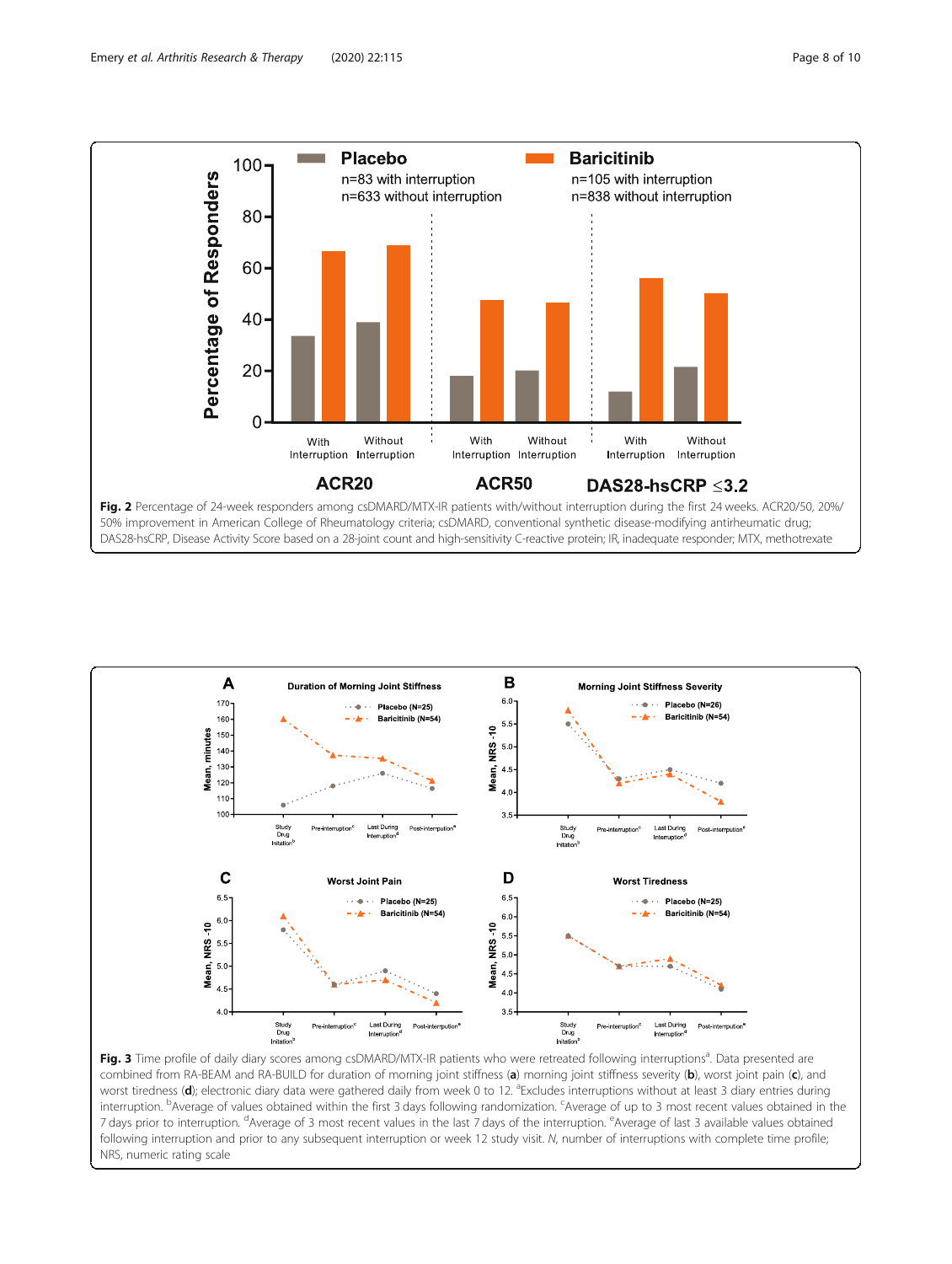<span id="page-7-0"></span>



Fig. 3 Time profile of daily diary scores among csDMARD/MTX-IR patients who were retreated following interruptions<sup>a</sup>. Data presented are combined from RA-BEAM and RA-BUILD for duration of morning joint stiffness (a) morning joint stiffness severity (b), worst joint pain (c), and worst tiredness (d); electronic diary data were gathered daily from week 0 to 12. <sup>a</sup>Excludes interruptions without at least 3 diary entries during interruption. <sup>b</sup>Average of values obtained within the first 3 days following randomization. <sup>c</sup>Average of up to 3 most recent values obtained in the 7 days prior to interruption. <sup>d</sup>Average of 3 most recent values in the last 7 days of the interruption. <sup>e</sup>Average of last 3 available values obtained following interruption and prior to any subsequent interruption or week 12 study visit. N, number of interruptions with complete time profile; NRS, numeric rating scale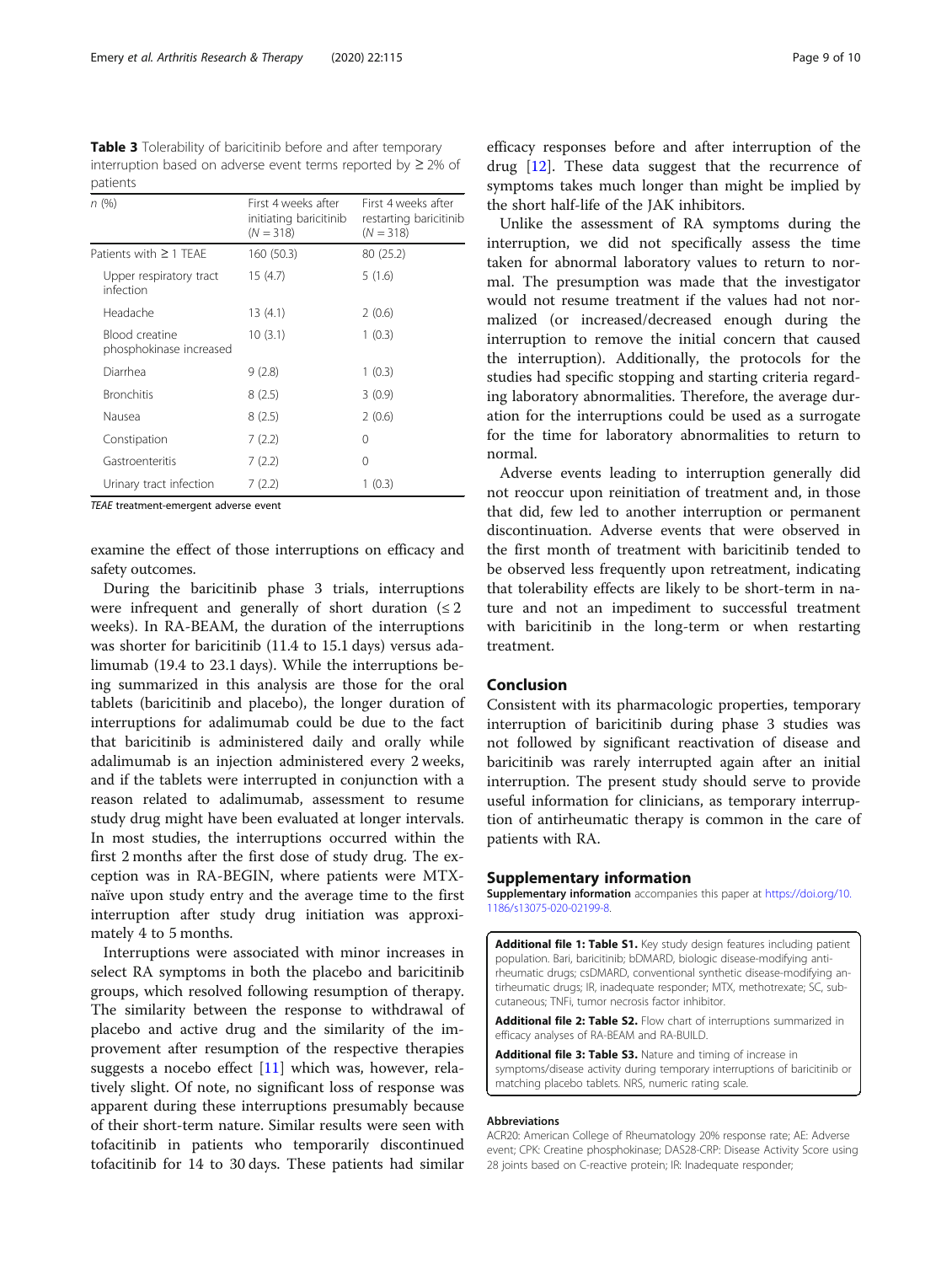<span id="page-8-0"></span>Table 3 Tolerability of baricitinib before and after temporary interruption based on adverse event terms reported by ≥ 2% of patients

| n(%)                                      | First 4 weeks after<br>initiating baricitinib<br>$(N = 318)$ | First 4 weeks after<br>restarting baricitinib<br>$(N = 318)$ |
|-------------------------------------------|--------------------------------------------------------------|--------------------------------------------------------------|
| Patients with $\geq$ 1 TFAF               | 160 (50.3)                                                   | 80 (25.2)                                                    |
| Upper respiratory tract<br>infection      | 15 (4.7)                                                     | 5(1.6)                                                       |
| Headache                                  | 13(4.1)                                                      | 2(0.6)                                                       |
| Blood creatine<br>phosphokinase increased | 10(3.1)                                                      | 1(0.3)                                                       |
| Diarrhea                                  | 9(2.8)                                                       | 1(0.3)                                                       |
| <b>Bronchitis</b>                         | 8(2.5)                                                       | 3(0.9)                                                       |
| Nausea                                    | 8(2.5)                                                       | 2(0.6)                                                       |
| Constipation                              | 7(2.2)                                                       | 0                                                            |
| Gastroenteritis                           | 7(2.2)                                                       | 0                                                            |
| Urinary tract infection                   | 7(2.2)                                                       | 1(0.3)                                                       |

TEAE treatment-emergent adverse event

examine the effect of those interruptions on efficacy and safety outcomes.

During the baricitinib phase 3 trials, interruptions were infrequent and generally of short duration  $(\leq 2)$ weeks). In RA-BEAM, the duration of the interruptions was shorter for baricitinib (11.4 to 15.1 days) versus adalimumab (19.4 to 23.1 days). While the interruptions being summarized in this analysis are those for the oral tablets (baricitinib and placebo), the longer duration of interruptions for adalimumab could be due to the fact that baricitinib is administered daily and orally while adalimumab is an injection administered every 2 weeks, and if the tablets were interrupted in conjunction with a reason related to adalimumab, assessment to resume study drug might have been evaluated at longer intervals. In most studies, the interruptions occurred within the first 2 months after the first dose of study drug. The exception was in RA-BEGIN, where patients were MTXnaïve upon study entry and the average time to the first interruption after study drug initiation was approximately 4 to 5 months.

Interruptions were associated with minor increases in select RA symptoms in both the placebo and baricitinib groups, which resolved following resumption of therapy. The similarity between the response to withdrawal of placebo and active drug and the similarity of the improvement after resumption of the respective therapies suggests a nocebo effect [\[11](#page-9-0)] which was, however, relatively slight. Of note, no significant loss of response was apparent during these interruptions presumably because of their short-term nature. Similar results were seen with tofacitinib in patients who temporarily discontinued tofacitinib for 14 to 30 days. These patients had similar

efficacy responses before and after interruption of the drug  $[12]$  $[12]$ . These data suggest that the recurrence of symptoms takes much longer than might be implied by the short half-life of the JAK inhibitors.

Unlike the assessment of RA symptoms during the interruption, we did not specifically assess the time taken for abnormal laboratory values to return to normal. The presumption was made that the investigator would not resume treatment if the values had not normalized (or increased/decreased enough during the interruption to remove the initial concern that caused the interruption). Additionally, the protocols for the studies had specific stopping and starting criteria regarding laboratory abnormalities. Therefore, the average duration for the interruptions could be used as a surrogate for the time for laboratory abnormalities to return to normal.

Adverse events leading to interruption generally did not reoccur upon reinitiation of treatment and, in those that did, few led to another interruption or permanent discontinuation. Adverse events that were observed in the first month of treatment with baricitinib tended to be observed less frequently upon retreatment, indicating that tolerability effects are likely to be short-term in nature and not an impediment to successful treatment with baricitinib in the long-term or when restarting treatment.

# Conclusion

Consistent with its pharmacologic properties, temporary interruption of baricitinib during phase 3 studies was not followed by significant reactivation of disease and baricitinib was rarely interrupted again after an initial interruption. The present study should serve to provide useful information for clinicians, as temporary interruption of antirheumatic therapy is common in the care of patients with RA.

## Supplementary information

Supplementary information accompanies this paper at [https://doi.org/10.](https://doi.org/10.1186/s13075-020-02199-8) [1186/s13075-020-02199-8](https://doi.org/10.1186/s13075-020-02199-8).

Additional file 1: Table S1. Key study design features including patient population. Bari, baricitinib; bDMARD, biologic disease-modifying antirheumatic drugs; csDMARD, conventional synthetic disease-modifying antirheumatic drugs; IR, inadequate responder; MTX, methotrexate; SC, subcutaneous; TNFi, tumor necrosis factor inhibitor.

Additional file 2: Table S2. Flow chart of interruptions summarized in efficacy analyses of RA-BEAM and RA-BUILD.

Additional file 3: Table S3. Nature and timing of increase in symptoms/disease activity during temporary interruptions of baricitinib or matching placebo tablets. NRS, numeric rating scale.

#### Abbreviations

ACR20: American College of Rheumatology 20% response rate; AE: Adverse event; CPK: Creatine phosphokinase; DAS28-CRP: Disease Activity Score using 28 joints based on C-reactive protein; IR: Inadequate responder;